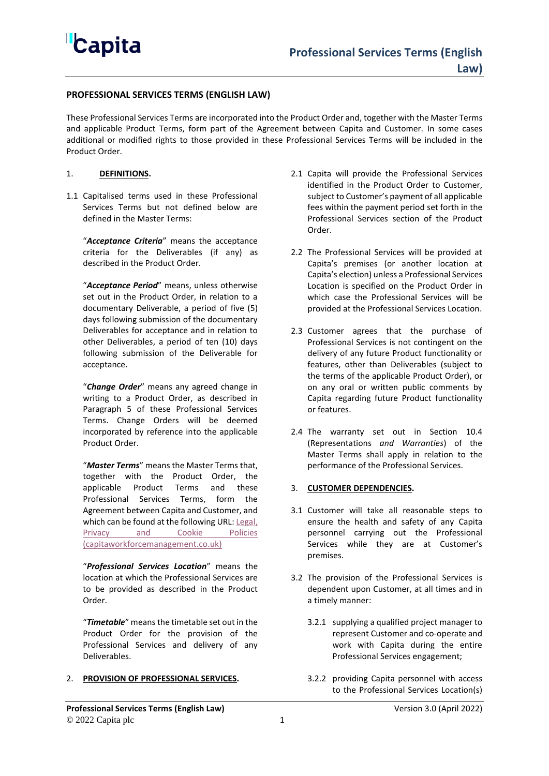## **PROFESSIONAL SERVICES TERMS (ENGLISH LAW)**

These Professional Services Terms are incorporated into the Product Order and, together with the Master Terms and applicable Product Terms, form part of the Agreement between Capita and Customer. In some cases additional or modified rights to those provided in these Professional Services Terms will be included in the Product Order.

#### 1. **DEFINITIONS.**

1.1 Capitalised terms used in these Professional Services Terms but not defined below are defined in the Master Terms:

"*Acceptance Criteria*" means the acceptance criteria for the Deliverables (if any) as described in the Product Order.

"*Acceptance Period*" means, unless otherwise set out in the Product Order, in relation to a documentary Deliverable, a period of five (5) days following submission of the documentary Deliverables for acceptance and in relation to other Deliverables, a period of ten (10) days following submission of the Deliverable for acceptance.

"*Change Order*" means any agreed change in writing to a Product Order, as described in Paragraph [5](#page-2-0) of these Professional Services Terms. Change Orders will be deemed incorporated by reference into the applicable Product Order.

"*Master Terms*" means the Master Terms that, together with the Product Order, the applicable Product Terms and these Professional Services Terms, form the Agreement between Capita and Customer, and which can be found at the following URL[: Legal,](https://www.capitaworkforcemanagement.co.uk/legal-and-cookie-policies/)  [Privacy and Cookie Policies](https://www.capitaworkforcemanagement.co.uk/legal-and-cookie-policies/)  [\(capitaworkforcemanagement.co.uk\)](https://www.capitaworkforcemanagement.co.uk/legal-and-cookie-policies/)

"*Professional Services Location*" means the location at which the Professional Services are to be provided as described in the Product Order.

"*Timetable*" means the timetable set out in the Product Order for the provision of the Professional Services and delivery of any Deliverables.

#### 2. **PROVISION OF PROFESSIONAL SERVICES.**

- 2.1 Capita will provide the Professional Services identified in the Product Order to Customer, subject to Customer's payment of all applicable fees within the payment period set forth in the Professional Services section of the Product Order.
- 2.2 The Professional Services will be provided at Capita's premises (or another location at Capita's election) unless a Professional Services Location is specified on the Product Order in which case the Professional Services will be provided at the Professional Services Location.
- 2.3 Customer agrees that the purchase of Professional Services is not contingent on the delivery of any future Product functionality or features, other than Deliverables (subject to the terms of the applicable Product Order), or on any oral or written public comments by Capita regarding future Product functionality or features.
- 2.4 The warranty set out in Section 10.4 (Representations *and Warranties*) of the Master Terms shall apply in relation to the performance of the Professional Services.

#### 3. **CUSTOMER DEPENDENCIES.**

- 3.1 Customer will take all reasonable steps to ensure the health and safety of any Capita personnel carrying out the Professional Services while they are at Customer's premises.
- 3.2 The provision of the Professional Services is dependent upon Customer, at all times and in a timely manner:
	- 3.2.1 supplying a qualified project manager to represent Customer and co-operate and work with Capita during the entire Professional Services engagement;
	- 3.2.2 providing Capita personnel with access to the Professional Services Location(s)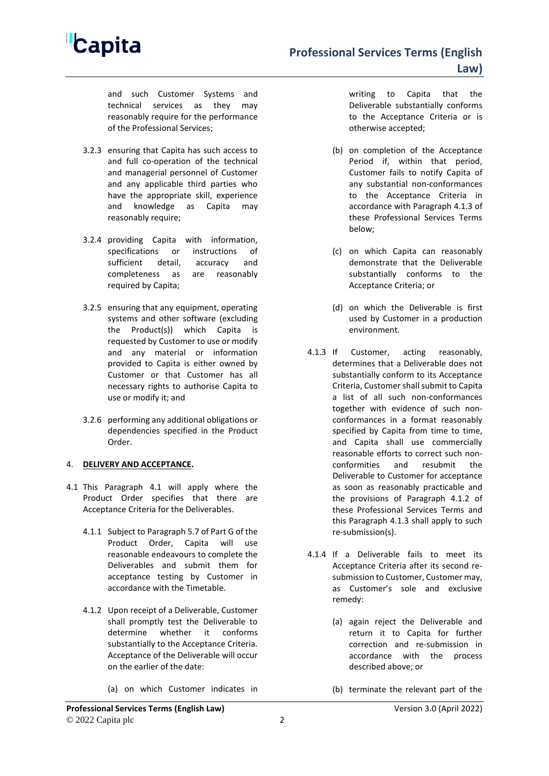

and such Customer Systems and technical services as they may reasonably require for the performance of the Professional Services;

- 3.2.3 ensuring that Capita has such access to and full co-operation of the technical and managerial personnel of Customer and any applicable third parties who have the appropriate skill, experience and knowledge as Capita may reasonably require;
- 3.2.4 providing Capita with information, specifications or instructions of sufficient detail, accuracy and completeness as are reasonably required by Capita;
- 3.2.5 ensuring that any equipment, operating systems and other software (excluding the Product(s)) which Capita is requested by Customer to use or modify and any material or information provided to Capita is either owned by Customer or that Customer has all necessary rights to authorise Capita to use or modify it; and
- 3.2.6 performing any additional obligations or dependencies specified in the Product Order.

#### 4. **DELIVERY AND ACCEPTANCE.**

- <span id="page-1-2"></span><span id="page-1-0"></span>4.1 This Paragraph [4.1](#page-1-0) will apply where the Product Order specifies that there are Acceptance Criteria for the Deliverables.
	- 4.1.1 Subject to Paragraph 5.7 of Part G of the Product Order, Capita will use reasonable endeavours to complete the Deliverables and submit them for acceptance testing by Customer in accordance with the Timetable.
	- 4.1.2 Upon receipt of a Deliverable, Customer shall promptly test the Deliverable to determine whether it conforms substantially to the Acceptance Criteria. Acceptance of the Deliverable will occur on the earlier of the date:
		- (a) on which Customer indicates in

writing to Capita that the Deliverable substantially conforms to the Acceptance Criteria or is otherwise accepted;

- (b) on completion of the Acceptance Period if, within that period, Customer fails to notify Capita of any substantial non-conformances to the Acceptance Criteria in accordance with Paragraph [4.1.3](#page-1-1) of these Professional Services Terms below;
- (c) on which Capita can reasonably demonstrate that the Deliverable substantially conforms to the Acceptance Criteria; or
- (d) on which the Deliverable is first used by Customer in a production environment.
- <span id="page-1-1"></span>4.1.3 If Customer, acting reasonably, determines that a Deliverable does not substantially conform to its Acceptance Criteria, Customer shall submit to Capita a list of all such non-conformances together with evidence of such nonconformances in a format reasonably specified by Capita from time to time, and Capita shall use commercially reasonable efforts to correct such nonconformities and resubmit the Deliverable to Customer for acceptance as soon as reasonably practicable and the provisions of Paragraph [4.1.2](#page-1-2) of these Professional Services Terms and this Paragraph [4.1.3](#page-1-1) shall apply to such re-submission(s).
- 4.1.4 If a Deliverable fails to meet its Acceptance Criteria after its second resubmission to Customer, Customer may, as Customer's sole and exclusive remedy:
	- (a) again reject the Deliverable and return it to Capita for further correction and re-submission in accordance with the process described above; or
	- (b) terminate the relevant part of the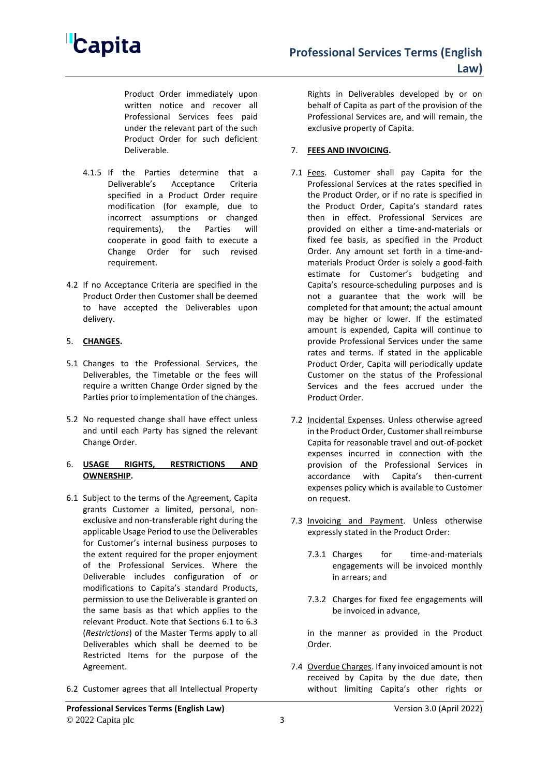

Product Order immediately upon written notice and recover all Professional Services fees paid under the relevant part of the such Product Order for such deficient Deliverable.

- 4.1.5 If the Parties determine that a Deliverable's Acceptance Criteria specified in a Product Order require modification (for example, due to incorrect assumptions or changed requirements), the Parties will cooperate in good faith to execute a Change Order for such revised requirement.
- 4.2 If no Acceptance Criteria are specified in the Product Order then Customer shall be deemed to have accepted the Deliverables upon delivery.

## <span id="page-2-0"></span>5. **CHANGES.**

- 5.1 Changes to the Professional Services, the Deliverables, the Timetable or the fees will require a written Change Order signed by the Parties prior to implementation of the changes.
- 5.2 No requested change shall have effect unless and until each Party has signed the relevant Change Order.

## 6. **USAGE RIGHTS, RESTRICTIONS AND OWNERSHIP.**

- 6.1 Subject to the terms of the Agreement, Capita grants Customer a limited, personal, nonexclusive and non-transferable right during the applicable Usage Period to use the Deliverables for Customer's internal business purposes to the extent required for the proper enjoyment of the Professional Services. Where the Deliverable includes configuration of or modifications to Capita's standard Products, permission to use the Deliverable is granted on the same basis as that which applies to the relevant Product. Note that Sections 6.1 to 6.3 (*Restrictions*) of the Master Terms apply to all Deliverables which shall be deemed to be Restricted Items for the purpose of the Agreement.
- 6.2 Customer agrees that all Intellectual Property

Rights in Deliverables developed by or on behalf of Capita as part of the provision of the Professional Services are, and will remain, the exclusive property of Capita.

# 7. **FEES AND INVOICING.**

- 7.1 Fees. Customer shall pay Capita for the Professional Services at the rates specified in the Product Order, or if no rate is specified in the Product Order, Capita's standard rates then in effect. Professional Services are provided on either a time-and-materials or fixed fee basis, as specified in the Product Order. Any amount set forth in a time-andmaterials Product Order is solely a good-faith estimate for Customer's budgeting and Capita's resource-scheduling purposes and is not a guarantee that the work will be completed for that amount; the actual amount may be higher or lower. If the estimated amount is expended, Capita will continue to provide Professional Services under the same rates and terms. If stated in the applicable Product Order, Capita will periodically update Customer on the status of the Professional Services and the fees accrued under the Product Order.
- 7.2 Incidental Expenses. Unless otherwise agreed in the Product Order, Customer shall reimburse Capita for reasonable travel and out-of-pocket expenses incurred in connection with the provision of the Professional Services in accordance with Capita's then-current expenses policy which is available to Customer on request.
- 7.3 Invoicing and Payment. Unless otherwise expressly stated in the Product Order:
	- 7.3.1 Charges for time-and-materials engagements will be invoiced monthly in arrears; and
	- 7.3.2 Charges for fixed fee engagements will be invoiced in advance,

in the manner as provided in the Product Order.

7.4 Overdue Charges. If any invoiced amount is not received by Capita by the due date, then without limiting Capita's other rights or